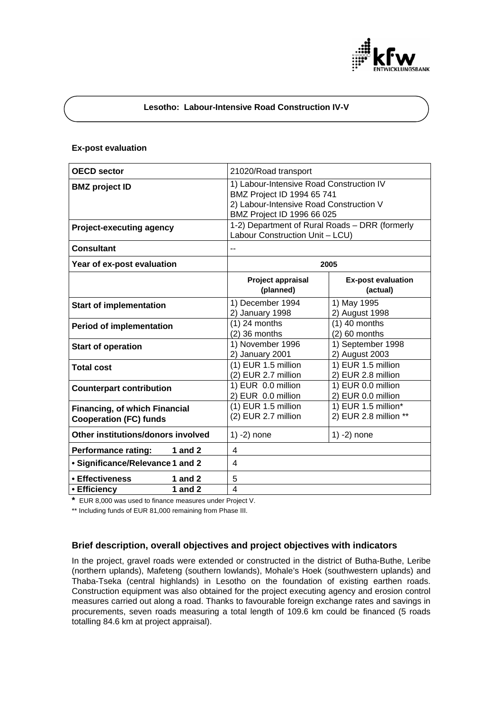

# **Lesotho: Labour-Intensive Road Construction IV-V**

### **Ex-post evaluation**

| <b>OECD</b> sector                                                    | 21020/Road transport                                                                                                                            |                                              |
|-----------------------------------------------------------------------|-------------------------------------------------------------------------------------------------------------------------------------------------|----------------------------------------------|
| <b>BMZ</b> project ID                                                 | 1) Labour-Intensive Road Construction IV<br>BMZ Project ID 1994 65 741<br>2) Labour-Intensive Road Construction V<br>BMZ Project ID 1996 66 025 |                                              |
| <b>Project-executing agency</b>                                       | 1-2) Department of Rural Roads - DRR (formerly<br>Labour Construction Unit - LCU)                                                               |                                              |
| <b>Consultant</b>                                                     |                                                                                                                                                 |                                              |
| Year of ex-post evaluation                                            | 2005                                                                                                                                            |                                              |
|                                                                       | Project appraisal<br>(planned)                                                                                                                  | <b>Ex-post evaluation</b><br>(actual)        |
| <b>Start of implementation</b>                                        | 1) December 1994<br>2) January 1998                                                                                                             | 1) May 1995<br>2) August 1998                |
| <b>Period of implementation</b>                                       | $(1)$ 24 months<br>$(2)$ 36 months                                                                                                              | $(1)$ 40 months<br>$(2)$ 60 months           |
| <b>Start of operation</b>                                             | 1) November 1996<br>2) January 2001                                                                                                             | 1) September 1998<br>2) August 2003          |
| <b>Total cost</b>                                                     | $(1)$ EUR 1.5 million<br>(2) EUR 2.7 million                                                                                                    | 1) EUR 1.5 million<br>2) EUR 2.8 million     |
| <b>Counterpart contribution</b>                                       | 1) EUR 0.0 million<br>2) EUR 0.0 million                                                                                                        | 1) EUR 0.0 million<br>2) EUR 0.0 million     |
| <b>Financing, of which Financial</b><br><b>Cooperation (FC) funds</b> | (1) EUR 1.5 million<br>(2) EUR 2.7 million                                                                                                      | 1) EUR 1.5 million*<br>2) EUR 2.8 million ** |
| Other institutions/donors involved                                    | $1) -2)$ none                                                                                                                                   | $1) - 2)$ none                               |
| 1 and $2$<br><b>Performance rating:</b>                               | 4                                                                                                                                               |                                              |
| • Significance/Relevance 1 and 2                                      | 4                                                                                                                                               |                                              |
| • Effectiveness<br>1 and $2$                                          | 5                                                                                                                                               |                                              |
| 1 and $2$<br>• Efficiency                                             | 4                                                                                                                                               |                                              |

**\*** EUR 8,000 was used to finance measures under Project V.

\*\* Including funds of EUR 81,000 remaining from Phase III.

# **Brief description, overall objectives and project objectives with indicators**

In the project, gravel roads were extended or constructed in the district of Butha-Buthe, Leribe (northern uplands), Mafeteng (southern lowlands), Mohale's Hoek (southwestern uplands) and Thaba-Tseka (central highlands) in Lesotho on the foundation of existing earthen roads. Construction equipment was also obtained for the project executing agency and erosion control measures carried out along a road. Thanks to favourable foreign exchange rates and savings in procurements, seven roads measuring a total length of 109.6 km could be financed (5 roads totalling 84.6 km at project appraisal).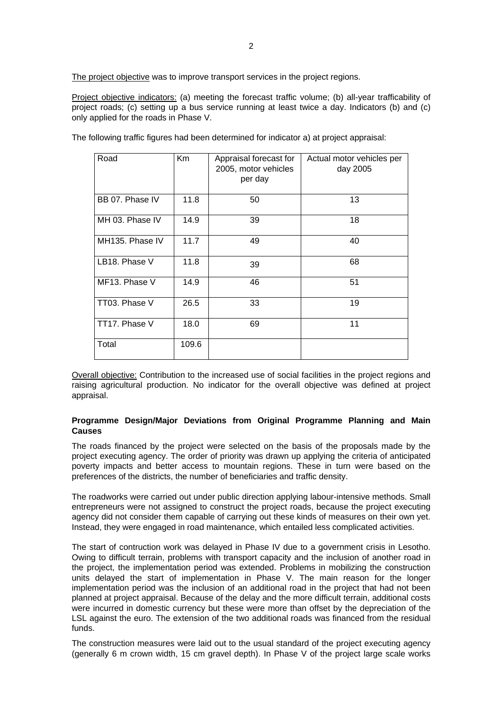The project objective was to improve transport services in the project regions.

Project objective indicators: (a) meeting the forecast traffic volume; (b) all-year trafficability of project roads; (c) setting up a bus service running at least twice a day. Indicators (b) and (c) only applied for the roads in Phase V.

| Road            | Km    | Appraisal forecast for<br>2005, motor vehicles<br>per day | Actual motor vehicles per<br>day 2005 |
|-----------------|-------|-----------------------------------------------------------|---------------------------------------|
| BB 07. Phase IV | 11.8  | 50                                                        | 13                                    |
| MH 03. Phase IV | 14.9  | 39                                                        | 18                                    |
| MH135. Phase IV | 11.7  | 49                                                        | 40                                    |
| LB18. Phase V   | 11.8  | 39                                                        | 68                                    |
| MF13. Phase V   | 14.9  | 46                                                        | 51                                    |
| TT03. Phase V   | 26.5  | 33                                                        | 19                                    |
| TT17. Phase V   | 18.0  | 69                                                        | 11                                    |
| Total           | 109.6 |                                                           |                                       |

The following traffic figures had been determined for indicator a) at project appraisal:

Overall objective: Contribution to the increased use of social facilities in the project regions and raising agricultural production. No indicator for the overall objective was defined at project appraisal.

#### **Programme Design/Major Deviations from Original Programme Planning and Main Causes**

The roads financed by the project were selected on the basis of the proposals made by the project executing agency. The order of priority was drawn up applying the criteria of anticipated poverty impacts and better access to mountain regions. These in turn were based on the preferences of the districts, the number of beneficiaries and traffic density.

The roadworks were carried out under public direction applying labour-intensive methods. Small entrepreneurs were not assigned to construct the project roads, because the project executing agency did not consider them capable of carrying out these kinds of measures on their own yet. Instead, they were engaged in road maintenance, which entailed less complicated activities.

The start of contruction work was delayed in Phase IV due to a government crisis in Lesotho. Owing to difficult terrain, problems with transport capacity and the inclusion of another road in the project, the implementation period was extended. Problems in mobilizing the construction units delayed the start of implementation in Phase V. The main reason for the longer implementation period was the inclusion of an additional road in the project that had not been planned at project appraisal. Because of the delay and the more difficult terrain, additional costs were incurred in domestic currency but these were more than offset by the depreciation of the LSL against the euro. The extension of the two additional roads was financed from the residual funds.

The construction measures were laid out to the usual standard of the project executing agency (generally 6 m crown width, 15 cm gravel depth). In Phase V of the project large scale works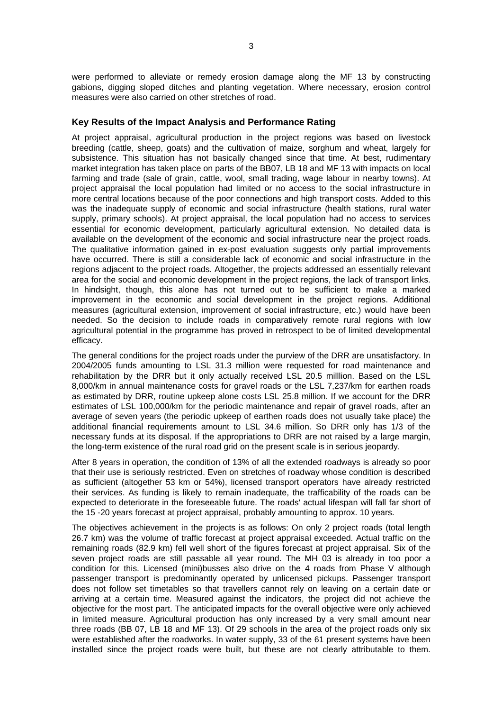were performed to alleviate or remedy erosion damage along the MF 13 by constructing gabions, digging sloped ditches and planting vegetation. Where necessary, erosion control measures were also carried on other stretches of road.

### **Key Results of the Impact Analysis and Performance Rating**

At project appraisal, agricultural production in the project regions was based on livestock breeding (cattle, sheep, goats) and the cultivation of maize, sorghum and wheat, largely for subsistence. This situation has not basically changed since that time. At best, rudimentary market integration has taken place on parts of the BB07, LB 18 and MF 13 with impacts on local farming and trade (sale of grain, cattle, wool, small trading, wage labour in nearby towns). At project appraisal the local population had limited or no access to the social infrastructure in more central locations because of the poor connections and high transport costs. Added to this was the inadequate supply of economic and social infrastructure (health stations, rural water supply, primary schools). At project appraisal, the local population had no access to services essential for economic development, particularly agricultural extension. No detailed data is available on the development of the economic and social infrastructure near the project roads. The qualitative information gained in ex-post evaluation suggests only partial improvements have occurred. There is still a considerable lack of economic and social infrastructure in the regions adjacent to the project roads. Altogether, the projects addressed an essentially relevant area for the social and economic development in the project regions, the lack of transport links. In hindsight, though, this alone has not turned out to be sufficient to make a marked improvement in the economic and social development in the project regions. Additional measures (agricultural extension, improvement of social infrastructure, etc.) would have been needed. So the decision to include roads in comparatively remote rural regions with low agricultural potential in the programme has proved in retrospect to be of limited developmental efficacy.

The general conditions for the project roads under the purview of the DRR are unsatisfactory. In 2004/2005 funds amounting to LSL 31.3 million were requested for road maintenance and rehabilitation by the DRR but it only actually received LSL 20.5 milllion. Based on the LSL 8,000/km in annual maintenance costs for gravel roads or the LSL 7,237/km for earthen roads as estimated by DRR, routine upkeep alone costs LSL 25.8 million. If we account for the DRR estimates of LSL 100,000/km for the periodic maintenance and repair of gravel roads, after an average of seven years (the periodic upkeep of earthen roads does not usually take place) the additional financial requirements amount to LSL 34.6 million. So DRR only has 1/3 of the necessary funds at its disposal. If the appropriations to DRR are not raised by a large margin, the long-term existence of the rural road grid on the present scale is in serious jeopardy.

After 8 years in operation, the condition of 13% of all the extended roadways is already so poor that their use is seriously restricted. Even on stretches of roadway whose condition is described as sufficient (altogether 53 km or 54%), licensed transport operators have already restricted their services. As funding is likely to remain inadequate, the trafficability of the roads can be expected to deteriorate in the foreseeable future. The roads' actual lifespan will fall far short of the 15 -20 years forecast at project appraisal, probably amounting to approx. 10 years.

The objectives achievement in the projects is as follows: On only 2 project roads (total length 26.7 km) was the volume of traffic forecast at project appraisal exceeded. Actual traffic on the remaining roads (82.9 km) fell well short of the figures forecast at project appraisal. Six of the seven project roads are still passable all year round. The MH 03 is already in too poor a condition for this. Licensed (mini)busses also drive on the 4 roads from Phase V although passenger transport is predominantly operated by unlicensed pickups. Passenger transport does not follow set timetables so that travellers cannot rely on leaving on a certain date or arriving at a certain time. Measured against the indicators, the project did not achieve the objective for the most part. The anticipated impacts for the overall objective were only achieved in limited measure. Agricultural production has only increased by a very small amount near three roads (BB 07, LB 18 and MF 13). Of 29 schools in the area of the project roads only six were established after the roadworks. In water supply, 33 of the 61 present systems have been installed since the project roads were built, but these are not clearly attributable to them.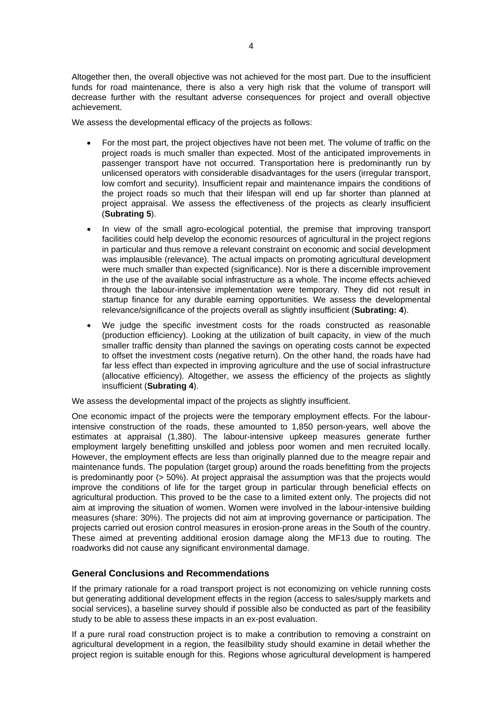Altogether then, the overall objective was not achieved for the most part. Due to the insufficient funds for road maintenance, there is also a very high risk that the volume of transport will decrease further with the resultant adverse consequences for project and overall objective achievement.

We assess the developmental efficacy of the projects as follows:

- For the most part, the project objectives have not been met. The volume of traffic on the project roads is much smaller than expected. Most of the anticipated improvements in passenger transport have not occurred. Transportation here is predominantly run by unlicensed operators with considerable disadvantages for the users (irregular transport, low comfort and security). Insufficient repair and maintenance impairs the conditions of the project roads so much that their lifespan will end up far shorter than planned at project appraisal. We assess the effectiveness of the projects as clearly insufficient (**Subrating 5**).
- In view of the small agro-ecological potential, the premise that improving transport facilities could help develop the economic resources of agricultural in the project regions in particular and thus remove a relevant constraint on economic and social development was implausible (relevance). The actual impacts on promoting agricultural development were much smaller than expected (significance). Nor is there a discernible improvement in the use of the available social infrastructure as a whole. The income effects achieved through the labour-intensive implementation were temporary. They did not result in startup finance for any durable earning opportunities. We assess the developmental relevance/significance of the projects overall as slightly insufficient (**Subrating: 4**).
- We judge the specific investment costs for the roads constructed as reasonable (production efficiency). Looking at the utilization of built capacity, in view of the much smaller traffic density than planned the savings on operating costs cannot be expected to offset the investment costs (negative return). On the other hand, the roads have had far less effect than expected in improving agriculture and the use of social infrastructure (allocative efficiency). Altogether, we assess the efficiency of the projects as slightly insufficient (**Subrating 4**).

We assess the developmental impact of the projects as slightly insufficient.

One economic impact of the projects were the temporary employment effects. For the labourintensive construction of the roads, these amounted to 1,850 person-years, well above the estimates at appraisal (1,380). The labour-intensive upkeep measures generate further employment largely benefitting unskilled and jobless poor women and men recruited locally. However, the employment effects are less than originally planned due to the meagre repair and maintenance funds. The population (target group) around the roads benefitting from the projects is predominantly poor (> 50%). At project appraisal the assumption was that the projects would improve the conditions of life for the target group in particular through beneficial effects on agricultural production. This proved to be the case to a limited extent only. The projects did not aim at improving the situation of women. Women were involved in the labour-intensive building measures (share: 30%). The projects did not aim at improving governance or participation. The projects carried out erosion control measures in erosion-prone areas in the South of the country. These aimed at preventing additional erosion damage along the MF13 due to routing. The roadworks did not cause any significant environmental damage.

# **General Conclusions and Recommendations**

If the primary rationale for a road transport project is not economizing on vehicle running costs but generating additional development effects in the region (access to sales/supply markets and social services), a baseline survey should if possible also be conducted as part of the feasibility study to be able to assess these impacts in an ex-post evaluation.

If a pure rural road construction project is to make a contribution to removing a constraint on agricultural development in a region, the feasilbility study should examine in detail whether the project region is suitable enough for this. Regions whose agricultural development is hampered